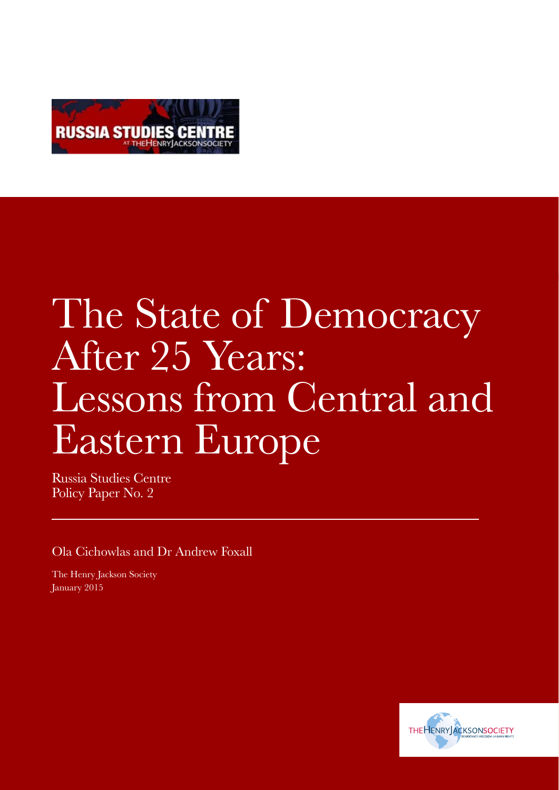

# The State of Democracy After 25 Years: Lessons from Central and Eastern Europe

Russia Studies Centre Policy Paper No. 2

Ola Cichowlas and Dr Andrew Foxall

The Henry Jackson Society January 2015

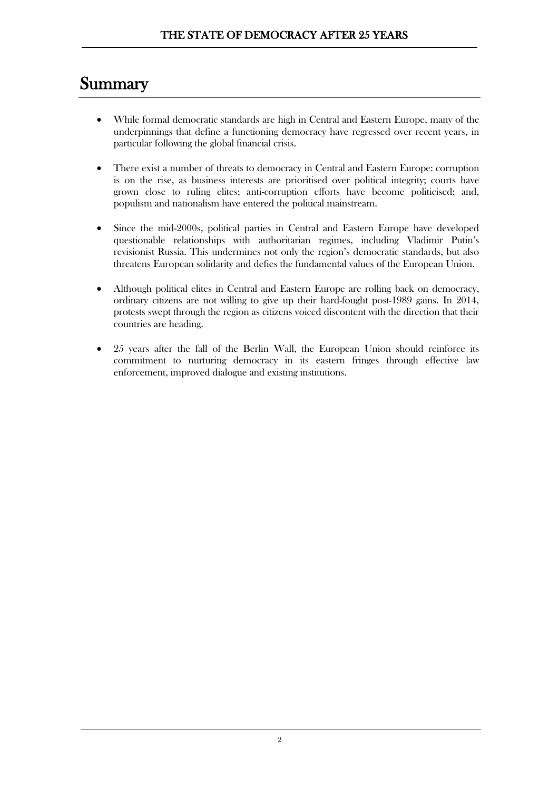### **Summary**

- While formal democratic standards are high in Central and Eastern Europe, many of the underpinnings that define a functioning democracy have regressed over recent years, in particular following the global financial crisis.
- There exist a number of threats to democracy in Central and Eastern Europe: corruption is on the rise, as business interests are prioritised over political integrity; courts have grown close to ruling elites; anti-corruption efforts have become politicised; and, populism and nationalism have entered the political mainstream.
- Since the mid-2000s, political parties in Central and Eastern Europe have developed questionable relationships with authoritarian regimes, including Vladimir Putin's revisionist Russia. This undermines not only the region's democratic standards, but also threatens European solidarity and defies the fundamental values of the European Union.
- Although political elites in Central and Eastern Europe are rolling back on democracy, ordinary citizens are not willing to give up their hard-fought post-1989 gains. In 2014, protests swept through the region as citizens voiced discontent with the direction that their countries are heading.
- x 25 years after the fall of the Berlin Wall, the European Union should reinforce its commitment to nurturing democracy in its eastern fringes through effective law enforcement, improved dialogue and existing institutions.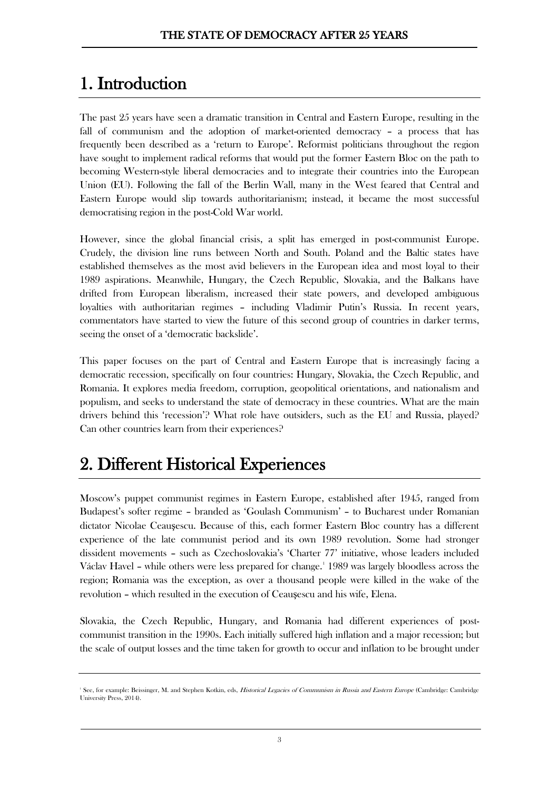# 1. Introduction

The past 25 years have seen a dramatic transition in Central and Eastern Europe, resulting in the fall of communism and the adoption of market-oriented democracy – a process that has frequently been described as a 'return to Europe'. Reformist politicians throughout the region have sought to implement radical reforms that would put the former Eastern Bloc on the path to becoming Western-style liberal democracies and to integrate their countries into the European Union (EU). Following the fall of the Berlin Wall, many in the West feared that Central and Eastern Europe would slip towards authoritarianism; instead, it became the most successful democratising region in the post-Cold War world.

However, since the global financial crisis, a split has emerged in post-communist Europe. Crudely, the division line runs between North and South. Poland and the Baltic states have established themselves as the most avid believers in the European idea and most loyal to their 1989 aspirations. Meanwhile, Hungary, the Czech Republic, Slovakia, and the Balkans have drifted from European liberalism, increased their state powers, and developed ambiguous loyalties with authoritarian regimes – including Vladimir Putin's Russia. In recent years, commentators have started to view the future of this second group of countries in darker terms, seeing the onset of a 'democratic backslide'.

This paper focuses on the part of Central and Eastern Europe that is increasingly facing a democratic recession, specifically on four countries: Hungary, Slovakia, the Czech Republic, and Romania. It explores media freedom, corruption, geopolitical orientations, and nationalism and populism, and seeks to understand the state of democracy in these countries. What are the main drivers behind this 'recession'? What role have outsiders, such as the EU and Russia, played? Can other countries learn from their experiences?

# 2. Different Historical Experiences

Moscow's puppet communist regimes in Eastern Europe, established after 1945, ranged from Budapest's softer regime – branded as 'Goulash Communism' – to Bucharest under Romanian dictator Nicolae Ceauşescu. Because of this, each former Eastern Bloc country has a different experience of the late communist period and its own 1989 revolution. Some had stronger dissident movements – such as Czechoslovakia's 'Charter 77' initiative, whose leaders included Václav Havel - while others were less prepared for change.<sup>[1](#page-2-0)</sup> 1989 was largely bloodless across the region; Romania was the exception, as over a thousand people were killed in the wake of the revolution – which resulted in the execution of Ceausescu and his wife, Elena.

Slovakia, the Czech Republic, Hungary, and Romania had different experiences of postcommunist transition in the 1990s. Each initially suffered high inflation and a major recession; but the scale of output losses and the time taken for growth to occur and inflation to be brought under

<span id="page-2-0"></span><sup>&</sup>lt;sup>1</sup> See, for example: Beissinger, M. and Stephen Kotkin, eds, *Historical Legacies of Communism in Russia and Eastern Europe* (Cambridge: Cambridge University Press, 2014).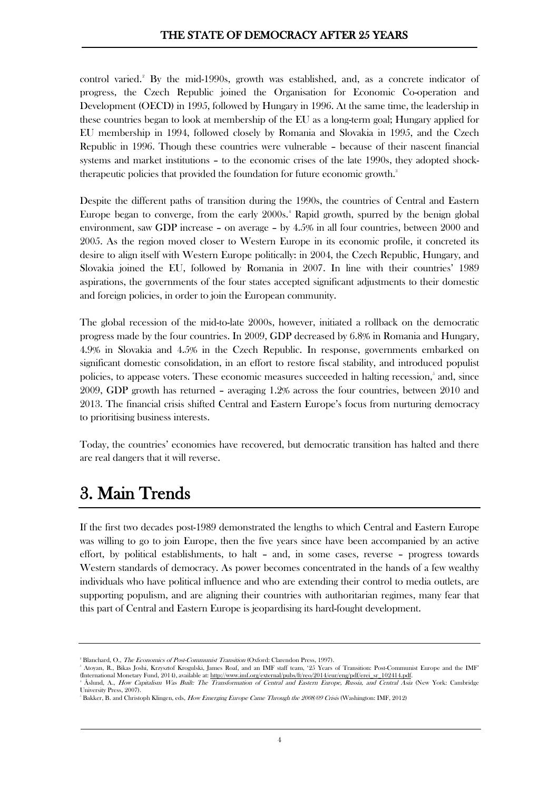control varied.<sup>[2](#page-3-0)</sup> By the mid-1990s, growth was established, and, as a concrete indicator of progress, the Czech Republic joined the Organisation for Economic Co-operation and Development (OECD) in 1995, followed by Hungary in 1996. At the same time, the leadership in these countries began to look at membership of the EU as a long-term goal; Hungary applied for EU membership in 1994, followed closely by Romania and Slovakia in 1995, and the Czech Republic in 1996. Though these countries were vulnerable – because of their nascent financial systems and market institutions – to the economic crises of the late 1990s, they adopted shocktherapeutic policies that provided the foundation for future economic growth.<sup>3</sup>

Despite the different paths of transition during the 1990s, the countries of Central and Eastern Europe began to converge, from the early 2000s.<sup>[4](#page-3-2)</sup> Rapid growth, spurred by the benign global environment, saw GDP increase – on average – by 4.5% in all four countries, between 2000 and 2005. As the region moved closer to Western Europe in its economic profile, it concreted its desire to align itself with Western Europe politically: in 2004, the Czech Republic, Hungary, and Slovakia joined the EU, followed by Romania in 2007. In line with their countries' 1989 aspirations, the governments of the four states accepted significant adjustments to their domestic and foreign policies, in order to join the European community.

The global recession of the mid-to-late 2000s, however, initiated a rollback on the democratic progress made by the four countries. In 2009, GDP decreased by 6.8% in Romania and Hungary, 4.9% in Slovakia and 4.5% in the Czech Republic. In response, governments embarked on significant domestic consolidation, in an effort to restore fiscal stability, and introduced populist policies, to appease voters. These economic measures succeeded in halting recession,<sup>[5](#page-3-3)</sup> and, since 2009, GDP growth has returned – averaging 1.2% across the four countries, between 2010 and 2013. The financial crisis shifted Central and Eastern Europe's focus from nurturing democracy to prioritising business interests.

Today, the countries' economies have recovered, but democratic transition has halted and there are real dangers that it will reverse.

# 3. Main Trends

If the first two decades post-1989 demonstrated the lengths to which Central and Eastern Europe was willing to go to join Europe, then the five years since have been accompanied by an active effort, by political establishments, to halt – and, in some cases, reverse – progress towards Western standards of democracy. As power becomes concentrated in the hands of a few wealthy individuals who have political influence and who are extending their control to media outlets, are supporting populism, and are aligning their countries with authoritarian regimes, many fear that this part of Central and Eastern Europe is jeopardising its hard-fought development.

<span id="page-3-0"></span><sup>&</sup>lt;sup>2</sup> Blanchard, O., *The Economics of Post-Communist Transition* (Oxford: Clarendon Press, 1997).

Atoyan, R., Bikas Joshi, Krzysztof Krogulski, James Roaf, and an IMF staff team, '25 Years of Transition: Post-Communist Europe and the IMF' (International Monetary Fund, 2014), available at: [http://www.imf.org/external/pubs/ft/reo/2014/eur/eng/pdf/erei\\_sr\\_102414.pdf.](http://www.imf.org/external/pubs/ft/reo/2014/eur/eng/pdf/erei_sr_102414.pdf)

<span id="page-3-2"></span><span id="page-3-1"></span>Åslund, A., How Capitalism Was Built: The Transformation of Central and Eastern Europe, Russia, and Central Asia (New York: Cambridge University Press, 2007).

<span id="page-3-3"></span><sup>&</sup>lt;sup>5</sup> Bakker, B. and Christoph Klingen, eds, *How Emerging Europe Came Through the 2008/09 Crisis* (Washington: IMF, 2012)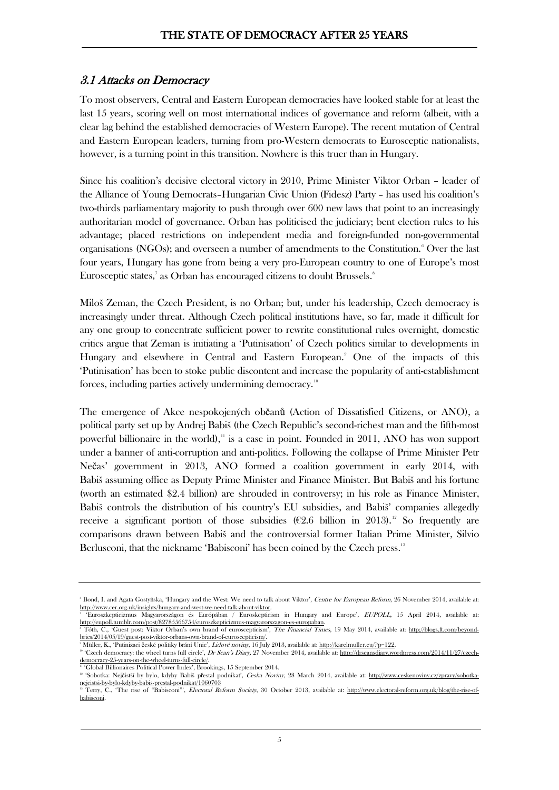### 3.1 Attacks on Democracy

To most observers, Central and Eastern European democracies have looked stable for at least the last 15 years, scoring well on most international indices of governance and reform (albeit, with a clear lag behind the established democracies of Western Europe). The recent mutation of Central and Eastern European leaders, turning from pro-Western democrats to Eurosceptic nationalists, however, is a turning point in this transition. Nowhere is this truer than in Hungary.

Since his coalition's decisive electoral victory in 2010, Prime Minister Viktor Orban – leader of the Alliance of Young Democrats–Hungarian Civic Union (Fidesz) Party – has used his coalition's two-thirds parliamentary majority to push through over 600 new laws that point to an increasingly authoritarian model of governance. Orban has politicised the judiciary; bent election rules to his advantage; placed restrictions on independent media and foreign-funded non-governmental organisations (NGOs); and overseen a number of amendments to the Constitution.<sup>[6](#page-4-0)</sup> Over the last four years, Hungary has gone from being a very pro-European country to one of Europe's most Eurosceptic states,<sup>7</sup> as Orban has encouraged citizens to doubt Brussels.<sup>[8](#page-4-2)</sup>

Miloš Zeman, the Czech President, is no Orban; but, under his leadership, Czech democracy is increasingly under threat. Although Czech political institutions have, so far, made it difficult for any one group to concentrate sufficient power to rewrite constitutional rules overnight, domestic critics argue that Zeman is initiating a 'Putinisation' of Czech politics similar to developments in Hungary and elsewhere in Central and Eastern European.<sup>[9](#page-4-3)</sup> One of the impacts of this 'Putinisation' has been to stoke public discontent and increase the popularity of anti-establishment forces, including parties actively undermining democracy.<sup>[10](#page-4-4)</sup>

The emergence of Akce nespokojených občanů (Action of Dissatisfied Citizens, or ANO), a political party set up by Andrej Babiš (the Czech Republic's second-richest man and the fifth-most powerful billionaire in the world), $\frac{1}{n}$  is a case in point. Founded in 20[11](#page-4-5), ANO has won support under a banner of anti-corruption and anti-politics. Following the collapse of Prime Minister Petr Nečas' government in 2013, ANO formed a coalition government in early 2014, with Babiš assuming office as Deputy Prime Minister and Finance Minister. But Babiš and his fortune (worth an estimated \$2.4 billion) are shrouded in controversy; in his role as Finance Minister, Babiš controls the distribution of his country's EU subsidies, and Babiš' companies allegedly receive a significant portion of those subsidies ( $\epsilon$ 2.6 billion in 2013).<sup>[12](#page-4-6)</sup> So frequently are comparisons drawn between Babiš and the controversial former Italian Prime Minister, Silvio Berlusconi, that the nickname 'Babisconi' has been coined by the Czech press.<sup>[13](#page-4-7)</sup>

<span id="page-4-0"></span><sup>&</sup>lt;sup>6</sup> Bond, I. and Agata Gostyńska, 'Hungary and the Wes[t:](http://www.cer.org.uk/insights/hungary-and-west-we-need-talk-about-viktor) We need to talk about Viktor', *Centre for European Reform*, 26 November 2014, available at: [http://www.cer.org.uk/insights/hungary-and-west-we-need-talk-about-viktor.](http://www.cer.org.uk/insights/hungary-and-west-we-need-talk-about-viktor)

<span id="page-4-2"></span><span id="page-4-1"></span>[<sup>&#</sup>x27;Euroszkepticizmus Magyarországon és Európában / Euroskepticism in Hungary and Europe',](http://eupoll.tumblr.com/post/82785566754/euroszkepticizmus-magyarorszagon-es-europaban) EUPOLL, 15 April 2014, available a[t:](http://eupoll.tumblr.com/post/82785566754/euroszkepticizmus-magyarorszagon-es-europaban) [http://eupoll.tumblr.com/post/82785566754/euroszkepticizmus-magyarorszagon-es-europaban.](http://eupoll.tumblr.com/post/82785566754/euroszkepticizmus-magyarorszagon-es-europaban) <sup>8</sup> Tóth, C., 'Guest post: Viktor Orban's own brand of euroscepticism', *The Financial Times*, 19 May 2014, available at: [http://blogs.ft.com/beyond](http://blogs.ft.com/beyond-brics/2014/05/19/guest-post-viktor-orbans-own-brand-of-euroscepticism/)[brics/2014/05/19/guest-post-viktor-orbans-own-brand-of-euroscepticism/.](http://blogs.ft.com/beyond-brics/2014/05/19/guest-post-viktor-orbans-own-brand-of-euroscepticism/)

<span id="page-4-3"></span><sup>&</sup>lt;sup>9</sup> Müller, K., 'Putinizaci české politiky brání Unie'*, Lidové noviny*, 16 July 2013, available at: <u>http://karelmuller.eu/?p=122</u>.

<span id="page-4-4"></span><sup>&</sup>lt;sup>10</sup> 'Czech democracy: the wheel turns full circle', Dr Sean's Diary, 27 November 2014, available at: [http://drseansdiary.wordpress.com/2014/11/27/czech](http://drseansdiary.wordpress.com/2014/11/27/czech-democracy-25-years-on-the-wheel-turns-full-circle/)[democracy-25-years-on-the-wheel-turns-full-circle/.](http://drseansdiary.wordpress.com/2014/11/27/czech-democracy-25-years-on-the-wheel-turns-full-circle/)

<span id="page-4-5"></span><sup>11</sup> 'Global Billionaires Political Power Index', Brookings, 15 September 2014.

<span id="page-4-6"></span><sup>&</sup>lt;sup>12</sup> 'Sobotka: Nejčistší by bylo, kdyby Babiš přestal podnikat<sup>'</sup>, Ceska Noviny, 28 March 2014, available at: [http://www.ceskenoviny.cz/zpravy/sobotka](http://www.ceskenoviny.cz/zpravy/sobotka-nejcistsi-by-bylo-kdyby-babis-prestal-podnikat/1060703)[nejcistsi-by-bylo-kdyby-babis-prestal-podnikat/1060703](http://www.ceskenoviny.cz/zpravy/sobotka-nejcistsi-by-bylo-kdyby-babis-prestal-podnikat/1060703)

<span id="page-4-7"></span>Terry, C., 'The rise of "Babisconi"', Electoral Reform Society, 30 October 2013, available at: [http://www.electoral-reform.org.uk/blog/the-rise-of](http://www.electoral-reform.org.uk/blog/the-rise-of-babisconi)[babisconi.](http://www.electoral-reform.org.uk/blog/the-rise-of-babisconi)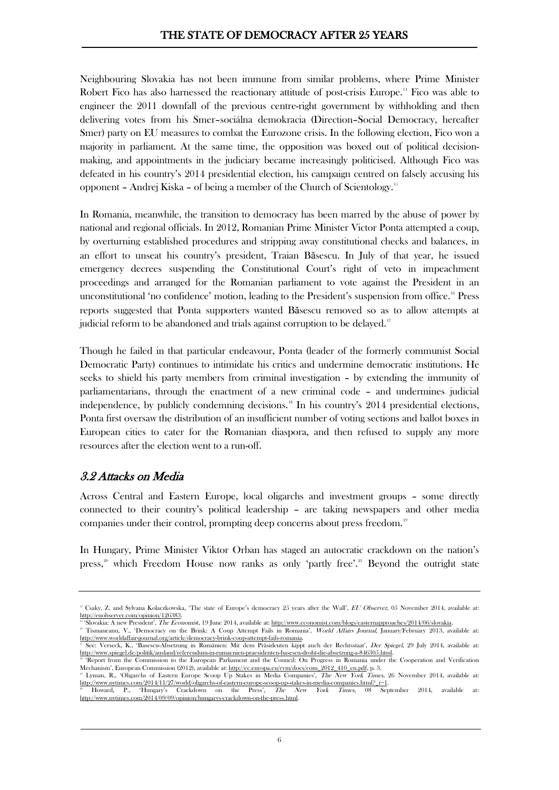Neighbouring Slovakia has not been immune from similar problems, where Prime Minister Robert Fico has also harnessed the reactionary attitude of post-crisis Europe.<sup>[14](#page-5-0)</sup> Fico was able to engineer the 2011 downfall of the previous centre-right government by withholding and then delivering votes from his Smer–sociálna demokracia (Direction–Social Democracy, hereafter Smer) party on EU measures to combat the Eurozone crisis. In the following election, Fico won a majority in parliament. At the same time, the opposition was boxed out of political decisionmaking, and appointments in the judiciary became increasingly politicised. Although Fico was defeated in his country's 2014 presidential election, his campaign centred on falsely accusing his opponent – Andrej Kiska – of being a member of the Church of Scientology[.15](#page-5-1)

In Romania, meanwhile, the transition to democracy has been marred by the abuse of power by national and regional officials. In 2012, Romanian Prime Minister Victor Ponta attempted a coup, by overturning established procedures and stripping away constitutional checks and balances, in an effort to unseat his country's president, Traian Băsescu. In July of that year, he issued emergency decrees suspending the Constitutional Court's right of veto in impeachment proceedings and arranged for the Romanian parliament to vote against the President in an unconstitutional 'no confidence' motion, leading to the President's suspension from office.[16](#page-5-2) Press reports suggested that Ponta supporters wanted Băsescu removed so as to allow attempts at judicial reform to be abandoned and trials against corruption to be delayed.<sup>[17](#page-5-3)</sup>

Though he failed in that particular endeavour, Ponta (leader of the formerly communist Social Democratic Party) continues to intimidate his critics and undermine democratic institutions. He seeks to shield his party members from criminal investigation – by extending the immunity of parliamentarians, through the enactment of a new criminal code – and undermines judicial independence, by publicly condemning decisions.<sup>[18](#page-5-4)</sup> In his country's  $2014$  presidential elections, Ponta first oversaw the distribution of an insufficient number of voting sections and ballot boxes in European cities to cater for the Romanian diaspora, and then refused to supply any more resources after the election went to a run-off.

### 3.2 Attacks on Media

Across Central and Eastern Europe, local oligarchs and investment groups – some directly connected to their country's political leadership – are taking newspapers and other media companies under their control, prompting deep concerns about press freedom.<sup>19</sup>

In Hungary, Prime Minister Viktor Orban has staged an autocratic crackdown on the nation's press,<sup>[20](#page-5-6)</sup> which Freedom House now ranks as only 'partly free'.<sup>[21](#page-5-1)</sup> Beyond the outright state

<span id="page-5-0"></span><sup>&</sup>lt;sup>14</sup> Csaky, Z. and Sylvana Kolaczkowska, 'The state of Europe's democracy 25 years after the Wall', EU Observer, 05 November 2014, available a[t:](http://euobserver.com/opinion/126383) [http://euobserver.com/opinion/126383.](http://euobserver.com/opinion/126383)

<span id="page-5-2"></span><span id="page-5-1"></span><sup>&</sup>lt;sup>1</sup>Slovakia: A new President', *The Economis*t, 19 June 2014, available at: http://www.economist.com/blogs/easternapproaches/2014/06/slovakia Tismaneanu, V., 'Democracy on the Brink: A Coup Attempt Fails in Romania', World Affairs Journal, January/February 2013, available a[t:](http://www.worldaffairsjournal.org/article/democracy-brink-coup-attempt-fails-romania) [http://www.worldaffairsjournal.org/article/democracy-brink-coup-attempt-fails-romania.](http://www.worldaffairsjournal.org/article/democracy-brink-coup-attempt-fails-romania)

<span id="page-5-3"></span>See: Verseck, K., 'Basescu-Absetzung in Rumänien: Mit dem Präsidenten kippt auch der Rechtsstaat', Der Spiegel, 29 July 2014, available a[t:](http://www.spiegel.de/politik/ausland/referendum-in-rumaenien-praesidenten-basescu-droht-die-absetzung-a-846305.html) [http://www.spiegel.de/politik/ausland/referendum-in-rumaenien-praesidenten-basescu-droht-die-absetzung-a-846305.html.](http://www.spiegel.de/politik/ausland/referendum-in-rumaenien-praesidenten-basescu-droht-die-absetzung-a-846305.html)

<span id="page-5-4"></span><sup>&</sup>lt;sup>18</sup> 'Report from the Commission to the European Parliament and the Council: On Progress in Romania under the Cooperation and Verification Mechanism', European Commission (2012), available at: [http://ec.europa.eu/cvm/docs/com\\_2012\\_410\\_en.pdf,](http://ec.europa.eu/cvm/docs/com_2012_410_en.pdf) p. 3. <sup>19</sup> Lyman, R., 'Oligarchs of Eastern Europe Scoop Up Stakes in Media Companies', The New York Times, 26 November 2014, available a[t:](http://www.nytimes.com/2014/11/27/world/oligarchs-of-eastern-europe-scoop-up-stakes-in-media-companies.html?_r=1)

<span id="page-5-5"></span>[http://www.nytimes.com/2014/11/27/world/oligarchs-of-eastern-europe-scoop-up-stakes-in-media-companies.html?\\_r=1.](http://www.nytimes.com/2014/11/27/world/oligarchs-of-eastern-europe-scoop-up-stakes-in-media-companies.html?_r=1)<br><sup>20</sup> Howard, P., 'Hungary's Crackdown on the Press', *The New York Times*, 08 Sep on the Press', The New York Times, 08 September 2014, available a[t:](http://www.nytimes.com/2014/09/09/opinion/hungarys-crackdown-on-the-press.html)

<span id="page-5-6"></span>[http://www.nytimes.com/2014/09/09/opinion/hungarys-crackdown-on-the-press.html.](http://www.nytimes.com/2014/09/09/opinion/hungarys-crackdown-on-the-press.html)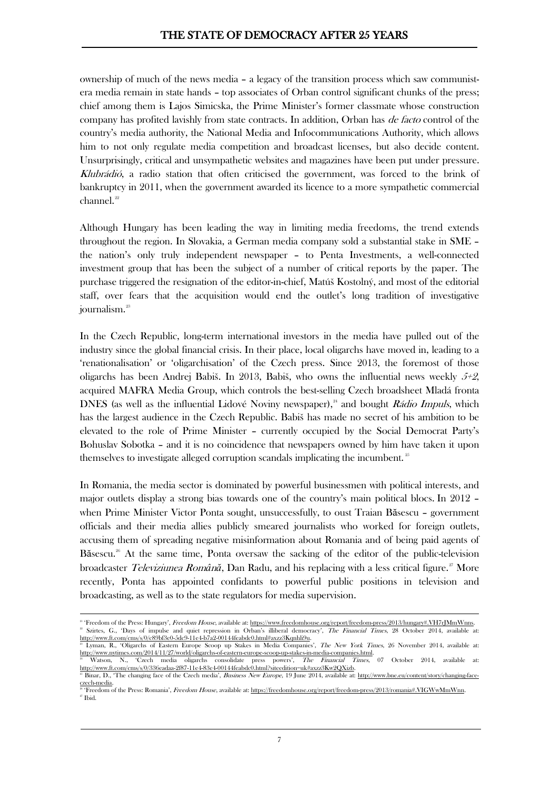ownership of much of the news media – a legacy of the transition process which saw communistera media remain in state hands – top associates of Orban control significant chunks of the press; chief among them is Lajos Simicska, the Prime Minister's former classmate whose construction company has profited lavishly from state contracts. In addition, Orban has *de facto* control of the country's media authority, the National Media and Infocommunications Authority, which allows him to not only regulate media competition and broadcast licenses, but also decide content. Unsurprisingly, critical and unsympathetic websites and magazines have been put under pressure. Klubrádió, a radio station that often criticised the government, was forced to the brink of bankruptcy in 2011, when the government awarded its licence to a more sympathetic commercial channel.<sup>[22](#page-6-0)</sup>

Although Hungary has been leading the way in limiting media freedoms, the trend extends throughout the region. In Slovakia, a German media company sold a substantial stake in SME – the nation's only truly independent newspaper – to Penta Investments, a well-connected investment group that has been the subject of a number of critical reports by the paper. The purchase triggered the resignation of the editor-in-chief, Matúš Kostolný, and most of the editorial staff, over fears that the acquisition would end the outlet's long tradition of investigative journalism.<sup>[23](#page-6-1)</sup>

In the Czech Republic, long-term international investors in the media have pulled out of the industry since the global financial crisis. In their place, local oligarchs have moved in, leading to a 'renationalisation' or 'oligarchisation' of the Czech press. Since 2013, the foremost of those oligarchs has been Andrej Babiš. In 2013, Babiš, who owns the influential news weekly  $5+2$ , acquired MAFRA Media Group, which controls the best-selling Czech broadsheet Mladá fronta DNES (as well as the influential Lidové Noviny newspaper),<sup>[24](#page-6-2)</sup> and bought *Rádio Impuls*, which has the largest audience in the Czech Republic. Babiš has made no secret of his ambition to be elevated to the role of Prime Minister – currently occupied by the Social Democrat Party's Bohuslav Sobotka – and it is no coincidence that newspapers owned by him have taken it upon themselves to investigate alleged corruption scandals implicating the incumbent.<sup>[25](#page-6-3)</sup>

In Romania, the media sector is dominated by powerful businessmen with political interests, and major outlets display a strong bias towards one of the country's main political blocs. In 2012 – when Prime Minister Victor Ponta sought, unsuccessfully, to oust Traian Băsescu – government officials and their media allies publicly smeared journalists who worked for foreign outlets, accusing them of spreading negative misinformation about Romania and of being paid agents of Băsescu.<sup>[26](#page-6-4)</sup> At the same time, Ponta oversaw the sacking of the editor of the public-television broadcaster Televiziunea Rom*â*n*ă*, Dan Radu, and his replacing with a less critical figure.[27](#page-6-5) More recently, Ponta has appointed confidants to powerful public positions in television and broadcasting, as well as to the state regulators for media supervision.

1

<span id="page-6-0"></span><sup>&#</sup>x27; Freedom of the Press: Hungary', Freedom House, available at: https://www.freedomhouse.org/report/freedom-press/2013/hungary#.VH7rJMmWnns Szirtes, G., 'Days of impulse and quiet repression in Orban's illiberal democracy', *The Financial Times*, 28 October 2014, available a[t:](http://www.ft.com/cms/s/0/c89bf3e0-5dc9-11e4-b7a2-00144feabdc0.html#axzz3Kqnhli9u) [http://www.ft.com/cms/s/0/c89bf3e0-5dc9-11e4-b7a2-00144feabdc0.html#axzz3Kqnhli9u.](http://www.ft.com/cms/s/0/c89bf3e0-5dc9-11e4-b7a2-00144feabdc0.html#axzz3Kqnhli9u)

<span id="page-6-1"></span>Lyman, R., 'Oligarchs of Eastern Europe Scoop up Stakes in Media Companies', The New York Times, 26 November 2014, available a[t:](http://www.nytimes.com/2014/11/27/world/oligarchs-of-eastern-europe-scoop-up-stakes-in-media-companies.html) [http://www.nytimes.com/2014/11/27/world/oligarchs-of-eastern-europe-scoop-up-stakes-in-media-companies.html.](http://www.nytimes.com/2014/11/27/world/oligarchs-of-eastern-europe-scoop-up-stakes-in-media-companies.html)

<span id="page-6-2"></span><sup>&#</sup>x27;Czech media oligarchs consolidate press powers', The Financial Times, 07 October 2014, available at: [http://www.ft.com/cms/s/0/336eadaa-2f87-11e4-83e4-00144feabdc0.html?siteedition=uk#axzz3Kw2QXizb.](http://www.ft.com/cms/s/0/336eadaa-2f87-11e4-83e4-00144feabdc0.html?siteedition=uk#axzz3Kw2QXizb) <sup>25</sup> Binar, D., 'The changing face of the Czech media', Business New Europe, 19 June 2014, available at: [http://www.bne.eu/content/story/changing-face-](http://www.bne.eu/content/story/changing-face-czech-media)

<span id="page-6-5"></span><span id="page-6-4"></span><span id="page-6-3"></span><sup>&</sup>lt;u>czech-media</u>.<br><sup>26</sup> 'Freedom of the Press: Romania', *Freedom House*, available at: <u>[https://freedomhouse.org/report/freedom-press/2013/romania#.VIGWwMmWnn.](https://freedomhouse.org/report/freedom-press/2013/romania#.VIGWwMmWnns)</u>  $27$  Ibid.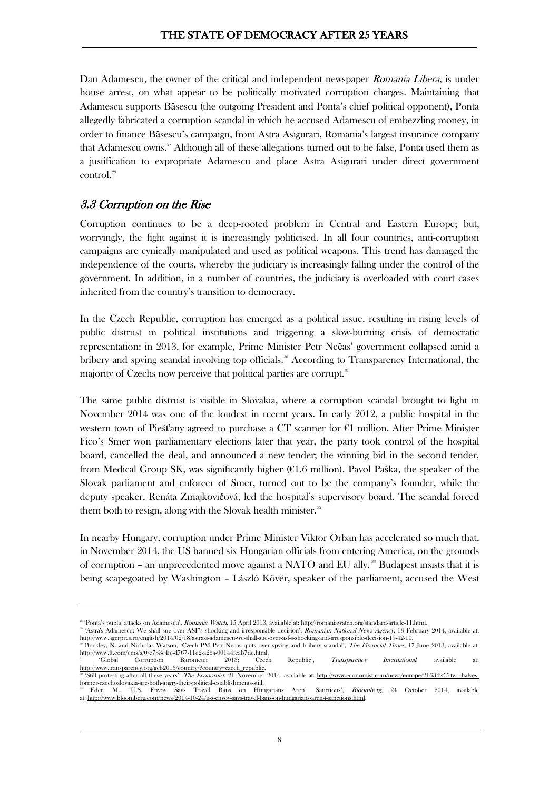Dan Adamescu, the owner of the critical and independent newspaper *Romania Libera*, is under house arrest, on what appear to be politically motivated corruption charges. Maintaining that Adamescu supports Băsescu (the outgoing President and Ponta's chief political opponent), Ponta allegedly fabricated a corruption scandal in which he accused Adamescu of embezzling money, in order to finance Băsescu's campaign, from Astra Asigurari, Romania's largest insurance company that Adamescu owns.<sup>[28](#page-7-0)</sup> Although all of these allegations turned out to be false, Ponta used them as a justification to expropriate Adamescu and place Astra Asigurari under direct government control.<sup>[29](#page-7-1)</sup>

### 3.3 Corruption on the Rise

Corruption continues to be a deep-rooted problem in Central and Eastern Europe; but, worryingly, the fight against it is increasingly politicised. In all four countries, anti-corruption campaigns are cynically manipulated and used as political weapons. This trend has damaged the independence of the courts, whereby the judiciary is increasingly falling under the control of the government. In addition, in a number of countries, the judiciary is overloaded with court cases inherited from the country's transition to democracy.

In the Czech Republic, corruption has emerged as a political issue, resulting in rising levels of public distrust in political institutions and triggering a slow-burning crisis of democratic representation: in 2013, for example, Prime Minister Petr Nečas' government collapsed amid a bribery and spying scandal involving top officials.<sup>30</sup> According to Transparency International, the majority of Czechs now perceive that political parties are corrupt.<sup>[31](#page-7-3)</sup>

The same public distrust is visible in Slovakia, where a corruption scandal brought to light in November 2014 was one of the loudest in recent years. In early 2012, a public hospital in the western town of Piešťany agreed to purchase a CT scanner for  $\epsilon$ 1 million. After Prime Minister Fico's Smer won parliamentary elections later that year, the party took control of the hospital board, cancelled the deal, and announced a new tender; the winning bid in the second tender, from Medical Group SK, was significantly higher (€1.6 million). Pavol Paška, the speaker of the Slovak parliament and enforcer of Smer, turned out to be the company's founder, while the deputy speaker, Renáta Zmajkovičová, led the hospital's supervisory board. The scandal forced them both to resign, along with the Slovak health minister.<sup>[32](#page-7-4)</sup>

In nearby Hungary, corruption under Prime Minister Viktor Orban has accelerated so much that, in November 2014, the US banned six Hungarian officials from entering America, on the grounds of corruption – an unprecedented move against a NATO and EU ally.<sup>[33](#page-7-5)</sup> Budapest insists that it is being scapegoated by Washington – László Kövér, speaker of the parliament, accused the West

<span id="page-7-0"></span><sup>&</sup>lt;sup>28</sup> 'Ponta's public attacks on Adamescu', Romania Watch, 15 April 2013, available at: http://romaniawatch.org/standard-article-11.html

<span id="page-7-1"></span><sup>&</sup>lt;sup>29</sup> 'Astra's Adamescu: We shall sue over ASF's shocking and irresponsible decision', Romanian National News Agency, 18 February 2014, available at: [http://www.agerpres.ro/english/2014/02/18/astra-s-adamescu-we-shall-sue-over-asf-s-shocking-and-irresponsible-decision-19-42-10.](http://www.agerpres.ro/english/2014/02/18/astra-s-adamescu-we-shall-sue-over-asf-s-shocking-and-irresponsible-decision-19-42-10)

<span id="page-7-2"></span>Buckley, N. and Nicholas Watson, 'Czech PM Petr Necas quits over spying and bribery scandal', The Financial Times, 17 June 2013, available a[t:](http://www.ft.com/cms/s/0/e733c4fc-d767-11e2-a26a-00144feab7de.html) [http://www.ft.com/cms/s/0/e733c4fc-d767-11e2-a26a-00144feab7de.html.](http://www.ft.com/cms/s/0/e733c4fc-d767-11e2-a26a-00144feab7de.html)<br><sup>a</sup> Global Corruption Barometer 2013: Czech <sup>31</sup> 'Global Corruption Barometer 2013: Czech Republic', Transparency International, available a[t:](http://www.transparency.org/gcb2013/country/?country=czech_republic)

<span id="page-7-4"></span><span id="page-7-3"></span><sup>//</sup>www.transparency.org/gcb2013/country/?country=czech\_republic. <sup>32</sup> 'Still protesting after all these years', The Economist, 21 November 2014, available at: [http://www.economist.com/news/europe/21634255-two-halves](http://www.economist.com/news/europe/21634255-two-halves-former-czechoslovakia-are-both-angry-their-political-establishments-still)[former-czechoslovakia-are-both-angry-their-political-establishments-still.](http://www.economist.com/news/europe/21634255-two-halves-former-czechoslovakia-are-both-angry-their-political-establishments-still)

<span id="page-7-5"></span><sup>&</sup>lt;sup>33</sup> Eder, M., 'U.S. Envoy Says Travel Bans on Hungarians Aren't Sanctions', *Bloomberg*, 24 October 2014, available<br>31: http://www.bloomberg.com/news/2014-10-24/u-s-envoy-says-travel-bans-on-hungarians-aren-t-sanctions.ht at: [http://www.bloomberg.com/news/2014-10-24/u-s-envoy-says-travel-bans-on-hungarians-aren-t-sanctions.html.](http://www.bloomberg.com/news/2014-10-24/u-s-envoy-says-travel-bans-on-hungarians-aren-t-sanctions.html)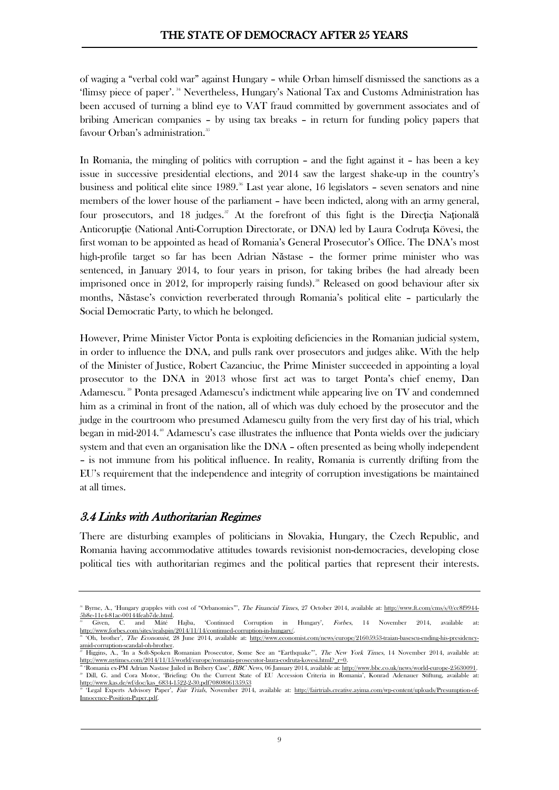of waging a "verbal cold war" against Hungary – while Orban himself dismissed the sanctions as a 'flimsy piece of paper'. [34](#page-8-0) Nevertheless, Hungary's National Tax and Customs Administration has been accused of turning a blind eye to VAT fraud committed by government associates and of bribing American companies – by using tax breaks – in return for funding policy papers that favour Orban's administration.<sup>[35](#page-8-1)</sup>

In Romania, the mingling of politics with corruption – and the fight against it – has been a key issue in successive presidential elections, and 2014 saw the largest shake-up in the country's business and political elite since  $1989$ <sup>[36](#page-8-2)</sup> Last year alone, 16 legislators – seven senators and nine members of the lower house of the parliament – have been indicted, along with an army general, four prosecutors, and 18 judges.<sup>[37](#page-8-3)</sup> At the forefront of this fight is the Directia Natională Anticoruptie (National Anti-Corruption Directorate, or DNA) led by Laura Codruta Kövesi, the first woman to be appointed as head of Romania's General Prosecutor's Office. The DNA's most high-profile target so far has been Adrian Năstase – the former prime minister who was sentenced, in January 2014, to four years in prison, for taking bribes (he had already been imprisoned once in 2012, for improperly raising funds).<sup>[38](#page-8-4)</sup> Released on good behaviour after six months, Năstase's conviction reverberated through Romania's political elite – particularly the Social Democratic Party, to which he belonged.

However, Prime Minister Victor Ponta is exploiting deficiencies in the Romanian judicial system, in order to influence the DNA, and pulls rank over prosecutors and judges alike. With the help of the Minister of Justice, Robert Cazanciuc, the Prime Minister succeeded in appointing a loyal prosecutor to the DNA in 2013 whose first act was to target Ponta's chief enemy, Dan Adamescu.<sup>[39](#page-8-5)</sup> Ponta presaged Adamescu's indictment while appearing live on TV and condemned him as a criminal in front of the nation, all of which was duly echoed by the prosecutor and the judge in the courtroom who presumed Adamescu guilty from the very first day of his trial, which began in mid-2014. [40](#page-8-6) Adamescu's case illustrates the influence that Ponta wields over the judiciary system and that even an organisation like the DNA – often presented as being wholly independent – is not immune from his political influence. In reality, Romania is currently drifting from the EU's requirement that the independence and integrity of corruption investigations be maintained at all times.

### 3.4 Links with Authoritarian Regimes

There are disturbing examples of politicians in Slovakia, Hungary, the Czech Republic, and Romania having accommodative attitudes towards revisionist non-democracies, developing close political ties with authoritarian regimes and the political parties that represent their interests.

<span id="page-8-0"></span><sup>&</sup>lt;sup>34</sup> Byrne, A., 'Hungary grapples with cost of "Orbanomics"', *The Financial Times*, 27 October 2014, available at: [http://www.ft.com/cms/s/0/cc8f9944-](http://www.ft.com/cms/s/0/cc8f9944-5b8e-11e4-81ac-00144feab7de.html)  $\frac{5b8e-11e4-81ac-00144feab7de.html}{6}$ .<br>  $\frac{1}{2}$  Given C. and Máté

<span id="page-8-1"></span><sup>35</sup> Given, C. and Máté Hajba, 'Continued Corruption in Hungary', Forbes, 14 November 2014, available a[t:](http://www.forbes.com/sites/realspin/2014/11/14/continued-corruption-in-hungary/) [http://www.forbes.com/sites/realspin/2014/11/14/continued-corruption-in-hungary/.](http://www.forbes.com/sites/realspin/2014/11/14/continued-corruption-in-hungary/) <sup>36</sup> 'Oh, brother', The Economist, 28 June 2014, available at: [http://www.economist.com/news/europe/21605953-traian-basescu-ending-his-presidency-](http://www.economist.com/news/europe/21605953-traian-basescu-ending-his-presidency-amid-corruption-scandal-oh-brother)

<span id="page-8-3"></span><span id="page-8-2"></span>[amid-corruption-scandal-oh-brother.](http://www.economist.com/news/europe/21605953-traian-basescu-ending-his-presidency-amid-corruption-scandal-oh-brother) <sup>37</sup> Higgins, A., 'In a Soft-Spoken Romanian Prosecutor, Some See an "Earthquake"', The New York Times, 14 November 2014, available a[t:](http://www.nytimes.com/2014/11/15/world/europe/romania-prosecutor-laura-codruta-kovesi.html?_r=0) [http://www.nytimes.com/2014/11/15/world/europe/romania-prosecutor-laura-codruta-kovesi.html?\\_r=0.](http://www.nytimes.com/2014/11/15/world/europe/romania-prosecutor-laura-codruta-kovesi.html?_r=0)

<span id="page-8-5"></span><span id="page-8-4"></span><sup>38</sup> 'Romania ex-PM Adrian Nastase Jailed in Bribery Case', BBC News, 06 January 2014, available at: [http://www.bbc.co.uk/news/world-europe-25630091.](http://www.bbc.co.uk/news/world-europe-25630091) <sup>39</sup> Dill, G. and Cora Motoc, 'Briefing: On the Current State of EU Accession Criteria in Romania', Konrad Adenauer Stiftung, available at: [http://www.kas.de/wf/doc/kas\\_6834-1522-2-30.pdf?080806135953](http://www.kas.de/wf/doc/kas_6834-1522-2-30.pdf?080806135953)

<span id="page-8-6"></span><sup>40</sup> 'Legal Experts Advisory Paper', Fair Trials, November 2014, available at: [http://fairtrials.creative.ayima.com/wp-content/uploads/Presumption-of-](http://fairtrials.creative.ayima.com/wp-content/uploads/Presumption-of-Innocence-Position-Paper.pdf)[Innocence-Position-Paper.pdf.](http://fairtrials.creative.ayima.com/wp-content/uploads/Presumption-of-Innocence-Position-Paper.pdf)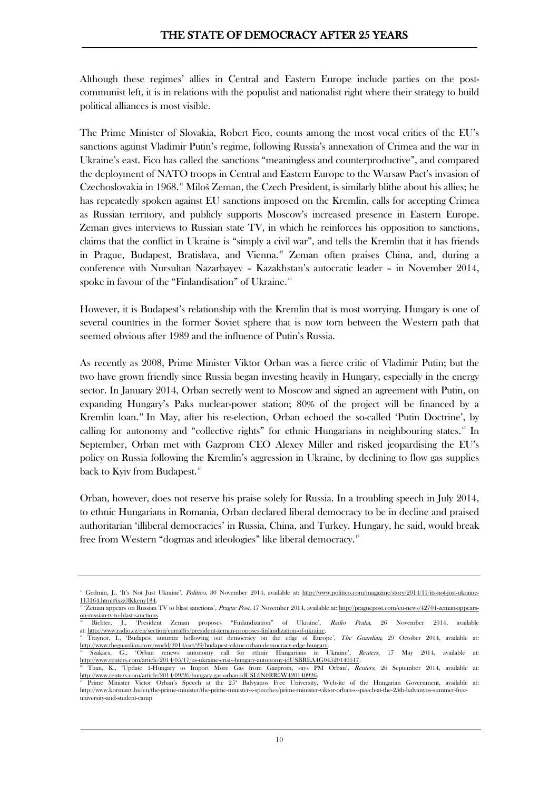Although these regimes' allies in Central and Eastern Europe include parties on the postcommunist left, it is in relations with the populist and nationalist right where their strategy to build political alliances is most visible.

The Prime Minister of Slovakia, Robert Fico, counts among the most vocal critics of the EU's sanctions against Vladimir Putin's regime, following Russia's annexation of Crimea and the war in Ukraine's east. Fico has called the sanctions "meaningless and counterproductive", and compared the deployment of NATO troops in Central and Eastern Europe to the Warsaw Pact's invasion of Czechoslovakia in 1968.<sup>[41](#page-9-0)</sup> Miloš Zeman, the Czech President, is similarly blithe about his allies; he has repeatedly spoken against EU sanctions imposed on the Kremlin, calls for accepting Crimea as Russian territory, and publicly supports Moscow's increased presence in Eastern Europe. Zeman gives interviews to Russian state TV, in which he reinforces his opposition to sanctions, claims that the conflict in Ukraine is "simply a civil war", and tells the Kremlin that it has friends in Prague, Budapest, Bratislava, and Vienna.<sup>[42](#page-9-1)</sup> Zeman often praises China, and, during a conference with Nursultan Nazarbayev – Kazakhstan's autocratic leader – in November 2014, spoke in favour of the "Finlandisation" of Ukraine.<sup>[43](#page-9-2)</sup>

However, it is Budapest's relationship with the Kremlin that is most worrying. Hungary is one of several countries in the former Soviet sphere that is now torn between the Western path that seemed obvious after 1989 and the influence of Putin's Russia.

As recently as 2008, Prime Minister Viktor Orban was a fierce critic of Vladimir Putin; but the two have grown friendly since Russia began investing heavily in Hungary, especially in the energy sector. In January 2014, Orban secretly went to Moscow and signed an agreement with Putin, on expanding Hungary's Paks nuclear-power station; 80% of the project will be financed by a Kremlin loan.<sup>[44](#page-9-3)</sup> In May, after his re-election, Orban echoed the so-called 'Putin Doctrine', by calling for autonomy and "collective rights" for ethnic Hungarians in neighbouring states.<sup>[45](#page-9-4)</sup> In September, Orban met with Gazprom CEO Alexey Miller and risked jeopardising the EU's policy on Russia following the Kremlin's aggression in Ukraine, by declining to flow gas supplies back to Kyiv from Budapest.<sup>[46](#page-9-5)</sup>

Orban, however, does not reserve his praise solely for Russia. In a troubling speech in July 2014, to ethnic Hungarians in Romania, Orban declared liberal democracy to be in decline and praised authoritarian 'illiberal democracies' in Russia, China, and Turkey. Hungary, he said, would break free from Western "dogmas and ideologies" like liberal democracy[.47](#page-9-6)

<span id="page-9-0"></span><sup>&</sup>lt;sup>41</sup> Gedmin, J., 'It's Not Just Ukraine', Politico, 30 November 2014, available at: [http://www.politico.com/magazine/story/2014/11/its-not-just-ukraine-](http://www.politico.com/magazine/story/2014/11/its-not-just-ukraine-113164.html#ixzz3Kkeny184)[113164.html#ixzz3Kkeny184.](http://www.politico.com/magazine/story/2014/11/its-not-just-ukraine-113164.html#ixzz3Kkeny184)

<span id="page-9-1"></span><sup>&</sup>lt;sup>a</sup> 'Zeman appears on Russian TV to blast sanctions', Prague Post, 17 November 2014, available at: http://praguepost.com/eu-news/42701-zeman-appearson-russian-tv-to-blast-sanctions.<br><sup>43</sup> Richter. L. 'President

<span id="page-9-2"></span>Zeman proposes "Finlandization" of Ukraine', Radio Praha, 26 November 2014, available at: [http://www.radio.cz/en/section/curraffrs/president-zeman-proposes-finlandization-of-ukraine.](http://www.radio.cz/en/section/curraffrs/president-zeman-proposes-finlandization-of-ukraine) Traynor, I., 'Budapest autumn: hollowing out democracy on the edge of Europe', The Guardian, 29 October 2014, available a[t:](http://www.theguardian.com/world/2014/oct/29/budapest-viktor-orban-democracy-edge-hungary)

<span id="page-9-4"></span><span id="page-9-3"></span>[http://www.theguardian.com/world/2014/oct/29/budapest-viktor-orban-democracy-edge-hungary.](http://www.theguardian.com/world/2014/oct/29/budapest-viktor-orban-democracy-edge-hungary) renews autonomy call for ethnic Hungarians in Ukraine', Reuters, 17 May 2014, available a[t:](http://www.reuters.com/article/2014/05/17/us-ukraine-crisis-hungary-autonomy-idUSBREA4G04520140517) [http://www.reuters.com/article/2014/05/17/us-ukraine-crisis-hungary-autonomy-idUSBREA4G04520140517.](http://www.reuters.com/article/2014/05/17/us-ukraine-crisis-hungary-autonomy-idUSBREA4G04520140517)

<span id="page-9-5"></span><sup>46</sup> Than, K., 'Update 1-Hungary to Import More Gas from Gazprom, says PM Orban', Reuters, 26 September 2014, available a[t:](http://www.reuters.com/article/2014/09/26/hungary-gas-orban-idUSL6N0RR0W420140926) [http://www.reuters.com/article/2014/09/26/hungary-gas-orban-idUSL6N0RR0W420140926.](http://www.reuters.com/article/2014/09/26/hungary-gas-orban-idUSL6N0RR0W420140926)

<span id="page-9-6"></span> $\sigma$  Prime Minister Victor Orban's Speech at the  $25^{\circ}$  Balvyanos Free University, Website of the Hungarian Government, available at: http://www.kormany.hu/en/the-prime-minister/the-prime-minister-s-speeches/prime-minister-viktor-orban-s-speech-at-the-25th-balvanyos-summer-freeuniversity-and-student-camp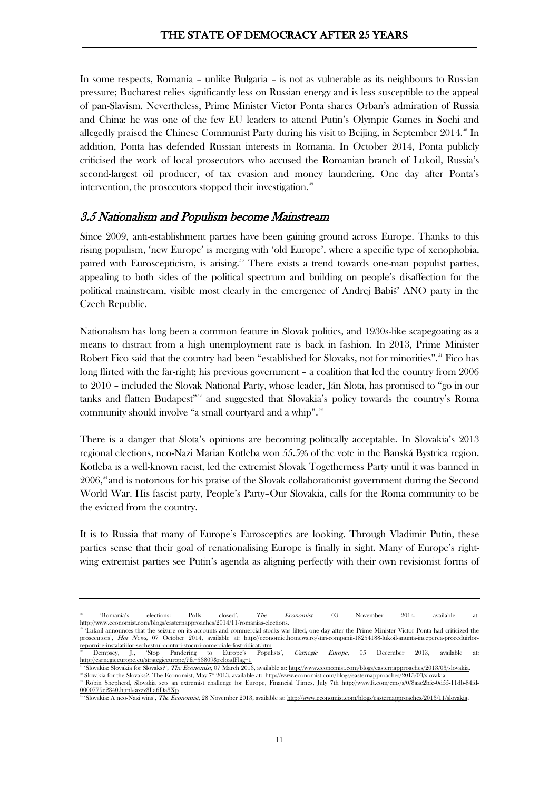In some respects, Romania – unlike Bulgaria – is not as vulnerable as its neighbours to Russian pressure; Bucharest relies significantly less on Russian energy and is less susceptible to the appeal of pan-Slavism. Nevertheless, Prime Minister Victor Ponta shares Orban's admiration of Russia and China: he was one of the few EU leaders to attend Putin's Olympic Games in Sochi and allegedly praised the Chinese Communist Party during his visit to Beijing, in September  $2014.^{\circ}$  In addition, Ponta has defended Russian interests in Romania. In October 2014, Ponta publicly criticised the work of local prosecutors who accused the Romanian branch of Lukoil, Russia's second-largest oil producer, of tax evasion and money laundering. One day after Ponta's intervention, the prosecutors stopped their investigation.<sup>[49](#page-10-1)</sup>

#### 3.5 Nationalism and Populism become Mainstream

Since 2009, anti-establishment parties have been gaining ground across Europe. Thanks to this rising populism, 'new Europe' is merging with 'old Europe', where a specific type of xenophobia, paired with Euroscepticism, is arising.<sup>[50](#page-10-2)</sup> There exists a trend towards one-man populist parties, appealing to both sides of the political spectrum and building on people's disaffection for the political mainstream, visible most clearly in the emergence of Andrej Babiš' ANO party in the Czech Republic.

Nationalism has long been a common feature in Slovak politics, and 1930s-like scapegoating as a means to distract from a high unemployment rate is back in fashion. In 2013, Prime Minister Robert Fico said that the country had been "established for Slovaks, not for minorities".<sup>[51](#page-10-3)</sup> Fico has long flirted with the far-right; his previous government – a coalition that led the country from 2006 to 2010 – included the Slovak National Party, whose leader, Ján Slota, has promised to "go in our tanks and flatten Budapest<sup>"[52](#page-10-4)</sup> and suggested that Slovakia's policy towards the country's Roma community should involve "a small courtyard and a whip".<sup>[53](#page-10-5)</sup>

There is a danger that Slota's opinions are becoming politically acceptable. In Slovakia's 2013 regional elections, neo-Nazi Marian Kotleba won 55.5% of the vote in the Banská Bystrica region. Kotleba is a well-known racist, led the extremist Slovak Togetherness Party until it was banned in  $2006$ ,<sup> $34$ </sup> and is notorious for his praise of the Slovak collaborationist government during the Second World War. His fascist party, People's Party–Our Slovakia, calls for the Roma community to be the evicted from the country.

It is to Russia that many of Europe's Eurosceptics are looking. Through Vladimir Putin, these parties sense that their goal of [renationalising](http://www.policy-network.net/pno_detail.aspx?ID=4482&title=Renationalisation-vs-Europeanisation) Europe is finally in sight. Many of Europe's rightwing extremist parties see Putin's agenda as aligning perfectly with their own revisionist forms of

<span id="page-10-0"></span><sup>&</sup>lt;sup>48</sup> 'Romania's elections: Polls closed', *The Economist*, 03 November 2014, available a[t:](http://www.economist.com/blogs/easternapproaches/2014/11/romanias-elections) [http://www.economist.com/blogs/easternapproaches/2014/11/romanias-elections.](http://www.economist.com/blogs/easternapproaches/2014/11/romanias-elections) <sup>49</sup> 'Lukoil announces that the seizure on its accounts and commercial stocks was lifted, one day after the Prime Minister Victor Ponta had criticized the

<span id="page-10-1"></span>prosecutors', Hot News, 07 October 2014, available at: [http://economie.hotnews.ro/stiri-companii-18254188-lukoil-anunta-inceperea-proceduirlor](http://economie.hotnews.ro/stiri-companii-18254188-lukoil-anunta-inceperea-proceduirlor-repornire-instalatiilor-sechestrul-conturi-stocuri-comerciale-fost-ridicat.htm)[repornire-instalatiilor-sechestrul-conturi-stocuri-comerciale-fost-ridicat.htm](http://economie.hotnews.ro/stiri-companii-18254188-lukoil-anunta-inceperea-proceduirlor-repornire-instalatiilor-sechestrul-conturi-stocuri-comerciale-fost-ridicat.htm)

<span id="page-10-2"></span><sup>&</sup>lt;sup>50</sup> Dempsey, J., 'Stop Pandering to Europe's Populists', *Carnegie Europe*, 05 December 2013, available at: <http://carnegieeurope.eu/strategiceurope/?fa=53809&reloadFlag=1>

<span id="page-10-4"></span><span id="page-10-3"></span><sup>51</sup> 'Slovakia: Slovakia for Slovaks?', The Economist, 07 March 2013, available at: [http://www.economist.com/blogs/easternapproaches/2013/03/slovakia.](http://www.economist.com/blogs/easternapproaches/2013/03/slovakia) Slovakia for the Slovaks?, The Economist, May 7<sup>th</sup> 2013, available at: http://www.economist.com/blogs/easternapproaches/2013/03/slovakia

<span id="page-10-5"></span><sup>53</sup> Robin Shepherd, Slovakia sets an extremist challenge for Europe, Financial Times, July 7th [http://www.ft.com/cms/s/0/8aac2bfe-0d55-11db-84fd-](http://www.ft.com/cms/s/0/8aac2bfe-0d55-11db-84fd-0000779e2340.html#axzz3La6Da3Xp)[0000779e2340.html#axzz3La6Da3Xp](http://www.ft.com/cms/s/0/8aac2bfe-0d55-11db-84fd-0000779e2340.html#axzz3La6Da3Xp)

<span id="page-10-6"></span><sup>54</sup> 'Slovakia: A neo-Nazi wins', The Economist, 28 November 2013, available at: [http://www.economist.com/blogs/easternapproaches/2013/11/slovakia.](http://www.economist.com/blogs/easternapproaches/2013/11/slovakia)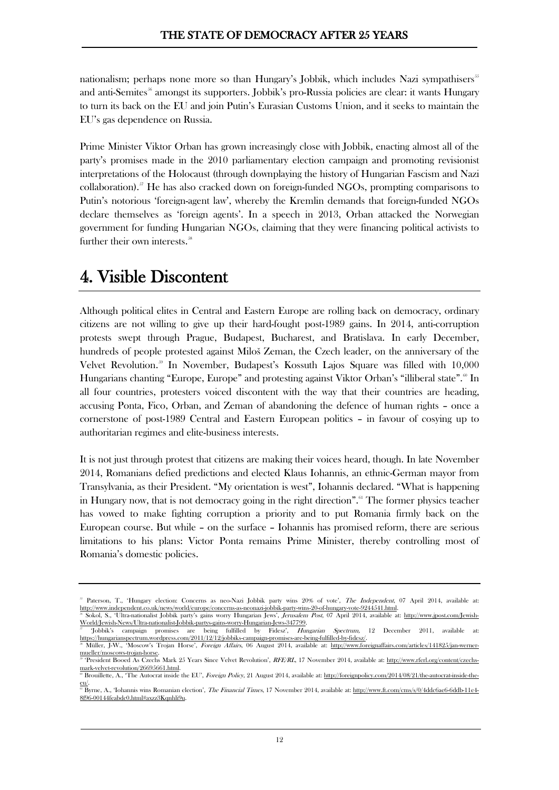nationalism; perhaps none more so than Hungary's Jobbik, which includes Nazi sympathisers<sup>[5](#page-11-0)5</sup> and [anti-Semites](http://www.jpost.com/Jewish-World/Jewish-News/Ultra-nationalist-Jobbik-partys-gains-worry-Hungarian-Jews-347799)<sup>[56](#page-11-1)</sup> amongst its supporters. Jobbik's pro-Russia policies are clear: it wants Hungary to turn its back on the EU and join Putin's Eurasian Customs Union, and it seeks to maintain the EU's gas dependence on Russia.

Prime Minister Viktor Orban has grown increasingly close with Jobbik, enacting almost all of the party's promises made in the 2010 parliamentary election campaign and promoting revisionist interpretations of the Holocaust (through downplaying the history of Hungarian Fascism and Nazi collaboration).[57](#page-11-2) He has also cracked down on foreign-funded NGOs, prompting comparisons to Putin's notorious 'foreign-agent law', whereby the Kremlin demands that foreign-funded NGOs declare themselves as 'foreign agents'. In a speech in 2013, Orban attacked the Norwegian government for funding Hungarian NGOs, claiming that they were financing political activists to further their own interests.<sup>58</sup>

## 4. Visible Discontent

Although political elites in Central and Eastern Europe are rolling back on democracy, ordinary citizens are not willing to give up their hard-fought post-1989 gains. In 2014, anti-corruption protests swept through Prague, Budapest, Bucharest, and Bratislava. In early December, hundreds of people protested against Miloš Zeman, the Czech leader, on the anniversary of the Velvet Revolution.<sup>39</sup> In November, Budapest's Kossuth Lajos Square was filled with 10,000 Hungarians chanting "Europe, Europe" and protesting against Viktor Orban's "illiberal state".<sup>[60](#page-11-5)</sup> In all four countries, protesters voiced discontent with the way that their countries are heading, accusing Ponta, Fico, Orban, and Zeman of abandoning the defence of human rights – once a cornerstone of post-1989 Central and Eastern European politics – in favour of cosying up to authoritarian regimes and elite-business interests.

It is not just through protest that citizens are making their voices heard, though. In late November 2014, Romanians defied predictions and elected Klaus Iohannis, an ethnic-German mayor from Transylvania, as their President. "My orientation is west", Iohannis declared. "What is happening in Hungary now, that is not democracy going in the right direction".<sup>[61](#page-11-6)</sup> The former physics teacher has vowed to make fighting corruption a priority and to put Romania firmly back on the European course. But while – on the surface – Iohannis has promised reform, there are serious limitations to his plans: Victor Ponta remains Prime Minister, thereby controlling most of Romania's domestic policies.

<span id="page-11-0"></span><sup>&</sup>lt;sup>55</sup> Paterson, T., 'Hungary election: Concerns as neo-Nazi Jobbik party wins 20% of vote', The Independent, 07 April 2014, available a[t:](http://www.independent.co.uk/news/world/europe/concerns-as-neonazi-jobbik-party-wins-20-of-hungary-vote-9244541.html) [http://www.independent.co.uk/news/world/europe/concerns-as-neonazi-jobbik-party-wins-20-of-hungary-vote-9244541.html.](http://www.independent.co.uk/news/world/europe/concerns-as-neonazi-jobbik-party-wins-20-of-hungary-vote-9244541.html) <sup>56</sup> Sokol, S., 'Ultra-nationalist Jobbik party's gains worry Hungarian Jews', Jerusalem Post, 07 April 2014, available at: [http://www.jpost.com/Jewish-](http://www.jpost.com/Jewish-World/Jewish-News/Ultra-nationalist-Jobbik-partys-gains-worry-Hungarian-Jews-347799)

<span id="page-11-1"></span>[World/Jewish-News/Ultra-nationalist-Jobbik-partys-gains-worry-Hungarian-Jews-347799.](http://www.jpost.com/Jewish-World/Jewish-News/Ultra-nationalist-Jobbik-partys-gains-worry-Hungarian-Jews-347799) <sup>57</sup> 'Jobbik's campaign promises are being fulfilled by Fidesz', Hungarian Spectrum, 12 December 2011, available a[t:](https://hungarianspectrum.wordpress.com/2011/12/12/jobbiks-campaign-promises-are-being-fulfilled-by-fidesz/)

<span id="page-11-3"></span><span id="page-11-2"></span>[https://hungarianspectrum.wordpress.com/2011/12/12/jobbiks-campaign-promises-are-being-fulfilled-by-fidesz/.](https://hungarianspectrum.wordpress.com/2011/12/12/jobbiks-campaign-promises-are-being-fulfilled-by-fidesz/) Müller, J-W., 'Moscow's Trojan Horse', Foreign Affairs, 06 August 2014, available at: [http://www.foreignaffairs.com/articles/141825/jan-werner](http://www.foreignaffairs.com/articles/141825/jan-werner-mueller/moscows-trojan-horse)[mueller/moscows-trojan-horse.](http://www.foreignaffairs.com/articles/141825/jan-werner-mueller/moscows-trojan-horse)

<span id="page-11-4"></span><sup>&</sup>lt;sup>39</sup> 'President Booed As Czechs Mark 25 Years Since Velvet Revolution', RFE/RL, 17 November 2014, available at: [http://www.rferl.org/content/czechs](http://www.rferl.org/content/czechs-mark-velvet-revolution/26695661.html)[mark-velvet-revolution/26695661.html.](http://www.rferl.org/content/czechs-mark-velvet-revolution/26695661.html)

<span id="page-11-5"></span>**<sup>60</sup> Brouillette, A., 'The Autocrat inside the EU'**, *Foreign Policy*, 21 August 2014, available at: [http://foreignpolicy.com/2014/08/21/the-autocrat-inside-the](http://foreignpolicy.com/2014/08/21/the-autocrat-inside-the-eu/)[eu/.](http://foreignpolicy.com/2014/08/21/the-autocrat-inside-the-eu/)<br><sup>61</sup> Byrne, A., 'Iohannis wins Romanian election', *The Financial Times*, 17 November 2014, available at: <u>[http://www.ft.com/cms/s/0/4ddc6ae6-6ddb-11e4-](http://www.ft.com/cms/s/0/4ddc6ae6-6ddb-11e4-8f96-00144feabdc0.html#axzz3Kqnhli9u)</u>

<span id="page-11-6"></span>[<sup>8</sup>f96-00144feabdc0.html#axzz3Kqnhli9u.](http://www.ft.com/cms/s/0/4ddc6ae6-6ddb-11e4-8f96-00144feabdc0.html#axzz3Kqnhli9u)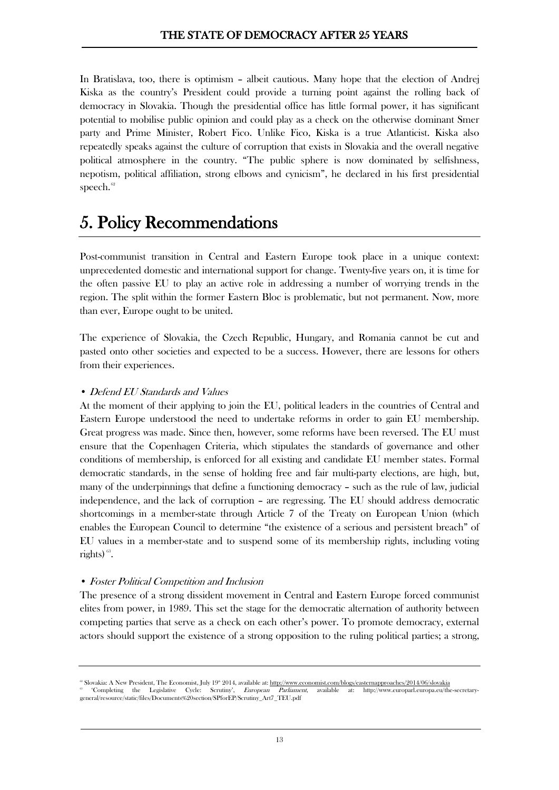In Bratislava, too, there is optimism – albeit cautious. Many hope that the election of Andrej Kiska as the country's President could provide a turning point against the rolling back of democracy in Slovakia. Though the presidential office has little formal power, it has significant potential to mobilise public opinion and could play as a check on the otherwise dominant Smer party and Prime Minister, Robert Fico. Unlike Fico, Kiska is a true Atlanticist. Kiska also repeatedly speaks against the culture of corruption that exists in Slovakia and the overall negative political atmosphere in the country. "The public sphere is now dominated by selfishness, nepotism, political affiliation, strong elbows and cynicism", he declared in his first presidential speech. $62$ 

## 5. Policy Recommendations

Post-communist transition in Central and Eastern Europe took place in a unique context: unprecedented domestic and international support for change. Twenty-five years on, it is time for the often passive EU to play an active role in addressing a number of worrying trends in the region. The split within the former Eastern Bloc is problematic, but not permanent. Now, more than ever, Europe ought to be united.

The experience of Slovakia, the Czech Republic, Hungary, and Romania cannot be cut and pasted onto other societies and expected to be a success. However, there are lessons for others from their experiences.

#### • Defend EU Standards and Values

At the moment of their applying to join the EU, political leaders in the countries of Central and Eastern Europe understood the need to undertake reforms in order to gain EU membership. Great progress was made. Since then, however, some reforms have been reversed. The EU must ensure that the Copenhagen Criteria, which stipulates the standards of governance and other conditions of membership, is enforced for all existing and candidate EU member states. Formal democratic standards, in the sense of holding free and fair multi-party elections, are high, but, many of the underpinnings that define a functioning democracy – such as the rule of law, judicial independence, and the lack of corruption – are regressing. The EU should address democratic shortcomings in a member-state through Article 7 of the Treaty on European Union (which enables the European Council to determine "the existence of a serious and persistent breach" of EU values in a member-state and to suspend some of its membership rights, including voting rights)  $^{\rm 63}.$  $^{\rm 63}.$  $^{\rm 63}.$ 

#### • Foster Political Competition and Inclusion

The presence of a strong dissident movement in Central and Eastern Europe forced communist elites from power, in 1989. This set the stage for the democratic alternation of authority between competing parties that serve as a check on each other's power. To promote democracy, external actors should support the existence of a strong opposition to the ruling political parties; a strong,

<span id="page-12-1"></span><span id="page-12-0"></span><sup>62</sup> Slovakia: A New President, The Economist, July 19<sup>th</sup> 2014, available at[: http://www.economist.com/blogs/easternapproaches/2014/06/slovakia](http://www.economist.com/blogs/easternapproaches/2014/06/slovakia)<br>Completing the Legislative Cycle: Scrutiny', *European Parliament*, available a <sup>63</sup> 'Completing the Legislative Cycle: Scrutiny', *European Parliament*, available at: http://www.europarl.europa.eu/the-secretarygeneral/resource/static/files/Documents%20section/SPforEP/Scrutiny\_Art7\_TEU.pdf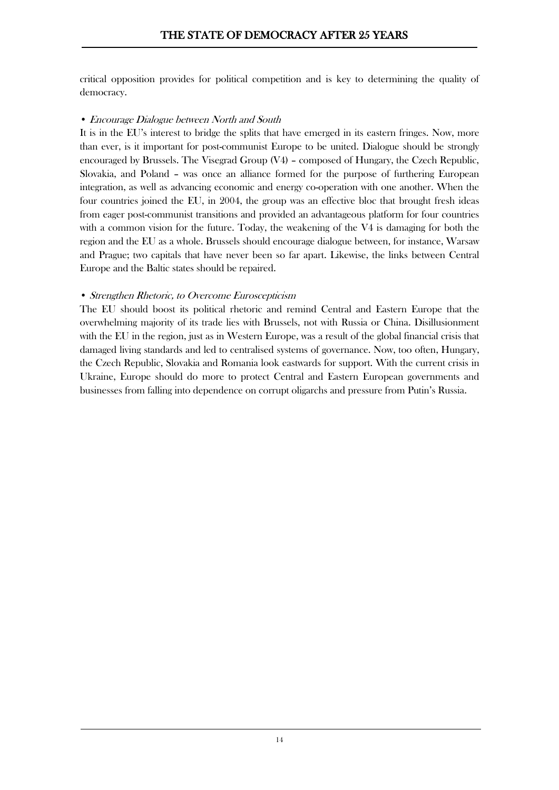critical opposition provides for political competition and is key to determining the quality of democracy.

#### • Encourage Dialogue between North and South

It is in the EU's interest to bridge the splits that have emerged in its eastern fringes. Now, more than ever, is it important for post-communist Europe to be united. Dialogue should be strongly encouraged by Brussels. The Visegrad Group  $(V4)$  – composed of Hungary, the Czech Republic, Slovakia, and Poland – was once an alliance formed for the purpose of furthering European integration, as well as advancing economic and energy co-operation with one another. When the four countries joined the EU, in 2004, the group was an effective bloc that brought fresh ideas from eager post-communist transitions and provided an advantageous platform for four countries with a common vision for the future. Today, the weakening of the V4 is damaging for both the region and the EU as a whole. Brussels should encourage dialogue between, for instance, Warsaw and Prague; two capitals that have never been so far apart. Likewise, the links between Central Europe and the Baltic states should be repaired.

#### • Strengthen Rhetoric, to Overcome Euroscepticism

The EU should boost its political rhetoric and remind Central and Eastern Europe that the overwhelming majority of its trade lies with Brussels, not with Russia or China. Disillusionment with the EU in the region, just as in Western Europe, was a result of the global financial crisis that damaged living standards and led to centralised systems of governance. Now, too often, Hungary, the Czech Republic, Slovakia and Romania look eastwards for support. With the current crisis in Ukraine, Europe should do more to protect Central and Eastern European governments and businesses from falling into dependence on corrupt oligarchs and pressure from Putin's Russia.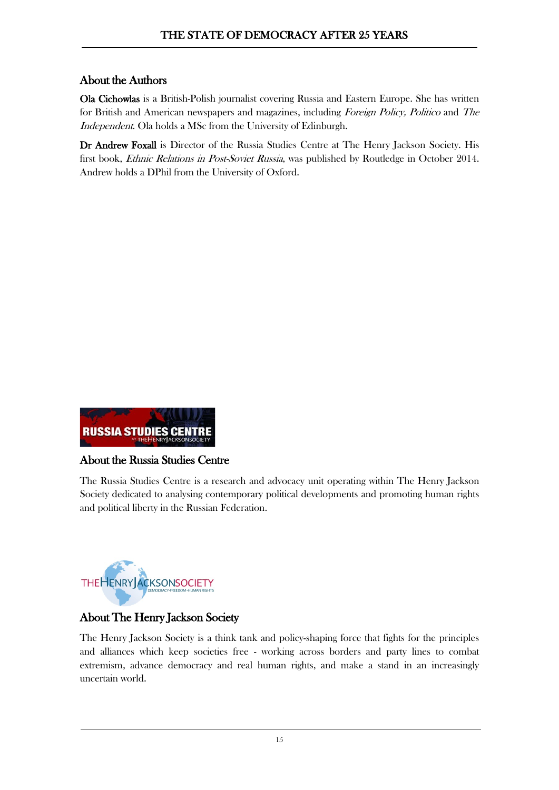### About the Authors

Ola Cichowlas is a British-Polish journalist covering Russia and Eastern Europe. She has written for British and American newspapers and magazines, including Foreign Policy, Politico and The Independent. Ola holds a MSc from the University of Edinburgh.

Dr Andrew Foxall is Director of the Russia Studies Centre at The Henry Jackson Society. His first book, Ethnic Relations in Post-Soviet Russia, was published by Routledge in October 2014. Andrew holds a DPhil from the University of Oxford.



#### About the Russia Studies Centre

The Russia Studies Centre is a research and advocacy unit operating within The Henry Jackson Society dedicated to analysing contemporary political developments and promoting human rights and political liberty in the Russian Federation.



### About The Henry Jackson Society

The Henry Jackson Society is a think tank and policy-shaping force that fights for the principles and alliances which keep societies free - working across borders and party lines to combat extremism, advance democracy and real human rights, and make a stand in an increasingly uncertain world.